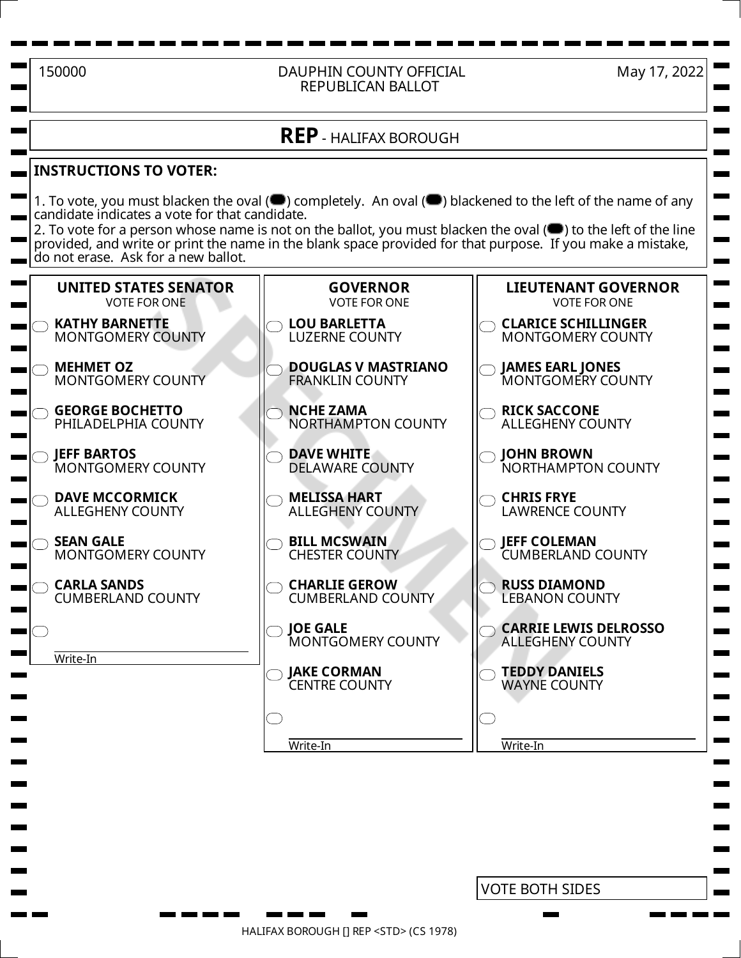## 150000 DAUPHIN COUNTY OFFICIAL REPUBLICAN BALLOT

May 17, 2022

## **REP**- HALIFAX BOROUGH

## **INSTRUCTIONS TO VOTER:**

1. To vote, you must blacken the oval ( $\blacksquare$ ) completely. An oval ( $\blacksquare$ ) blackened to the left of the name of any candidate indicates a vote for that candidate.

2. To vote for a person whose name is not on the ballot, you must blacken the oval  $($ **)** to the left of the line provided, and write or print the name in the blank space provided for that purpose. If you make a mistake, do not erase. Ask for a new ballot.